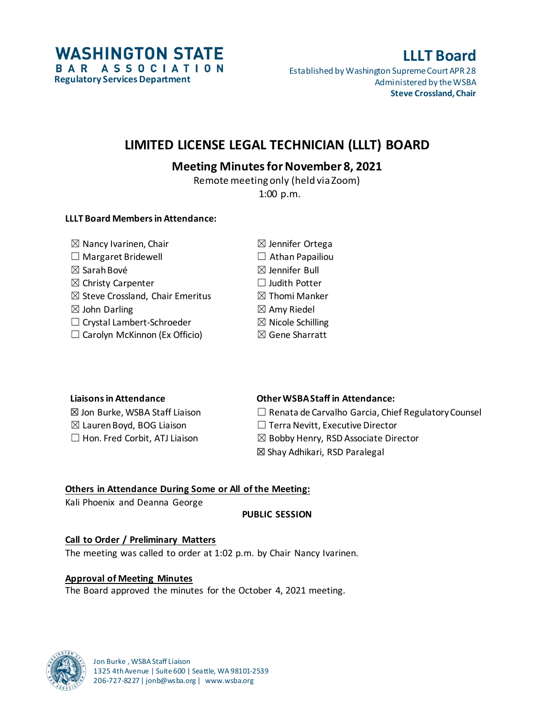**WASHINGTON STATE** BAR ASSOCIATION **Regulatory Services Department**

# **LLLT Board**

Established by Washington Supreme Court APR 28 Administered by the WSBA **Steve Crossland, Chair**

# **LIMITED LICENSE LEGAL TECHNICIAN (LLLT) BOARD**

# **Meeting Minutes for November 8, 2021**

Remote meeting only (held via Zoom) 1:00 p.m.

## **LLLT Board Members in Attendance:**

| $\boxtimes$ Nancy Ivarinen, Chair           | $\boxtimes$ Jennifer Ortega  |
|---------------------------------------------|------------------------------|
| $\Box$ Margaret Bridewell                   | $\Box$ Athan Papailiou       |
| $\boxtimes$ Sarah Bové                      | $\boxtimes$ Jennifer Bull    |
| $\boxtimes$ Christy Carpenter               | $\Box$ Judith Potter         |
| $\boxtimes$ Steve Crossland, Chair Emeritus | $\boxtimes$ Thomi Manker     |
| $\boxtimes$ John Darling                    | $\boxtimes$ Amy Riedel       |
| □ Crystal Lambert-Schroeder                 | $\boxtimes$ Nicole Schilling |
| $\Box$ Carolyn McKinnon (Ex Officio)        | ⊠ Gene Sharratt              |
|                                             |                              |

### **Liaisons in Attendance Other WSBA Staff in Attendance:**

 $\boxtimes$  Jon Burke, WSBA Staff Liaison  $\Box$  Renata de Carvalho Garcia, Chief Regulatory Counsel

☒ Lauren Boyd, BOG Liaison ☐ Terra Nevitt, Executive Director

 $\Box$  Hon. Fred Corbit, ATJ Liaison  $\boxtimes$  Bobby Henry, RSD Associate Director

☒ Shay Adhikari, RSD Paralegal

# **Others in Attendance During Some or All of the Meeting:**

Kali Phoenix and Deanna George

# **PUBLIC SESSION**

# **Call to Order / Preliminary Matters**

The meeting was called to order at 1:02 p.m. by Chair Nancy Ivarinen.

# **Approval of Meeting Minutes**

The Board approved the minutes for the October 4, 2021 meeting.

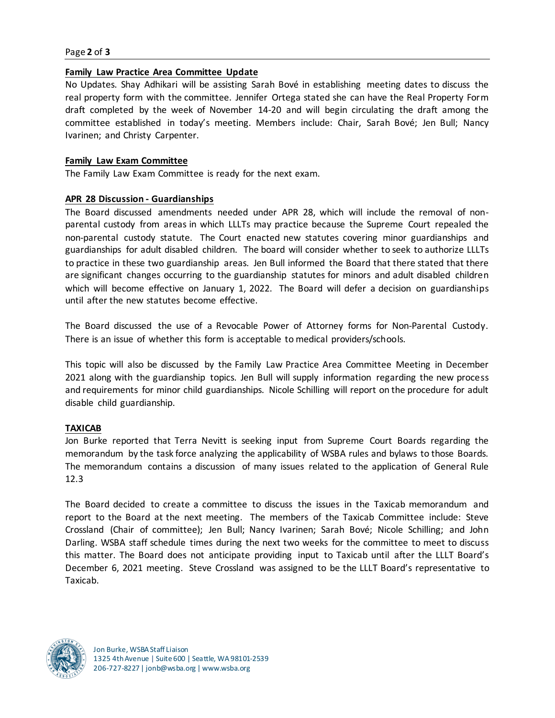#### Page **2** of **3**

#### **Family Law Practice Area Committee Update**

No Updates. Shay Adhikari will be assisting Sarah Bové in establishing meeting dates to discuss the real property form with the committee. Jennifer Ortega stated she can have the Real Property Form draft completed by the week of November 14-20 and will begin circulating the draft among the committee established in today's meeting. Members include: Chair, Sarah Bové; Jen Bull; Nancy Ivarinen; and Christy Carpenter.

#### **Family Law Exam Committee**

The Family Law Exam Committee is ready for the next exam.

#### **APR 28 Discussion - Guardianships**

The Board discussed amendments needed under APR 28, which will include the removal of nonparental custody from areas in which LLLTs may practice because the Supreme Court repealed the non-parental custody statute. The Court enacted new statutes covering minor guardianships and guardianships for adult disabled children. The board will consider whether to seek to authorize LLLTs to practice in these two guardianship areas. Jen Bull informed the Board that there stated that there are significant changes occurring to the guardianship statutes for minors and adult disabled children which will become effective on January 1, 2022. The Board will defer a decision on guardianships until after the new statutes become effective.

The Board discussed the use of a Revocable Power of Attorney forms for Non-Parental Custody. There is an issue of whether this form is acceptable to medical providers/schools.

This topic will also be discussed by the Family Law Practice Area Committee Meeting in December 2021 along with the guardianship topics. Jen Bull will supply information regarding the new process and requirements for minor child guardianships. Nicole Schilling will report on the procedure for adult disable child guardianship.

#### **TAXICAB**

Jon Burke reported that Terra Nevitt is seeking input from Supreme Court Boards regarding the memorandum by the task force analyzing the applicability of WSBA rules and bylaws to those Boards. The memorandum contains a discussion of many issues related to the application of General Rule 12.3

The Board decided to create a committee to discuss the issues in the Taxicab memorandum and report to the Board at the next meeting. The members of the Taxicab Committee include: Steve Crossland (Chair of committee); Jen Bull; Nancy Ivarinen; Sarah Bové; Nicole Schilling; and John Darling. WSBA staff schedule times during the next two weeks for the committee to meet to discuss this matter. The Board does not anticipate providing input to Taxicab until after the LLLT Board's December 6, 2021 meeting. Steve Crossland was assigned to be the LLLT Board's representative to Taxicab.